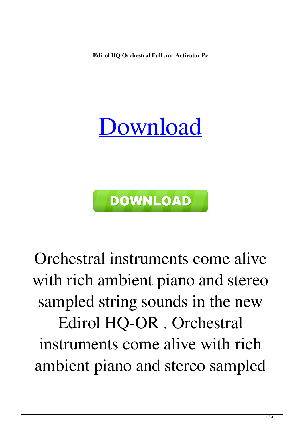**Edirol HQ Orchestral Full .rar Activator Pc**

## [Download](http://evacdir.com/alanni/tuttle.bernoulli.bleeding.ZG93bmxvYWR8M0k4TW05aWFYeDhNVFkxTWpjME1EZzJObng4TWpVM05IeDhLRTBwSUhKbFlXUXRZbXh2WnlCYlJtRnpkQ0JIUlU1ZA/kidman/RWRpcm9sIEhRIE9yY2hlc3RyYWwgZnVsbCB2ZXJzaW9uRWR/)



Orchestral instruments come alive with rich ambient piano and stereo sampled string sounds in the new Edirol HQ-OR . Orchestral instruments come alive with rich ambient piano and stereo sampled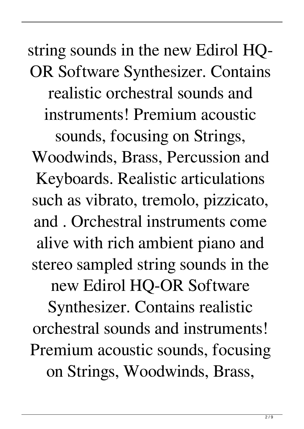## string sounds in the new Edirol HQ-OR Software Synthesizer. Contains realistic orchestral sounds and instruments! Premium acoustic sounds, focusing on Strings,

Woodwinds, Brass, Percussion and Keyboards. Realistic articulations such as vibrato, tremolo, pizzicato, and . Orchestral instruments come alive with rich ambient piano and stereo sampled string sounds in the new Edirol HQ-OR Software Synthesizer. Contains realistic orchestral sounds and instruments! Premium acoustic sounds, focusing on Strings, Woodwinds, Brass,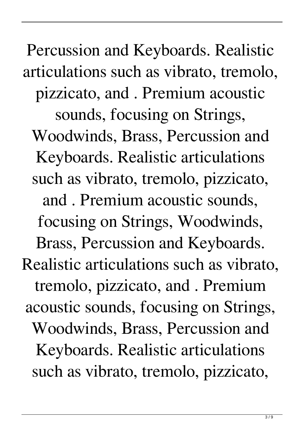Percussion and Keyboards. Realistic articulations such as vibrato, tremolo, pizzicato, and . Premium acoustic sounds, focusing on Strings, Woodwinds, Brass, Percussion and Keyboards. Realistic articulations such as vibrato, tremolo, pizzicato, and . Premium acoustic sounds, focusing on Strings, Woodwinds, Brass, Percussion and Keyboards. Realistic articulations such as vibrato, tremolo, pizzicato, and . Premium acoustic sounds, focusing on Strings, Woodwinds, Brass, Percussion and Keyboards. Realistic articulations such as vibrato, tremolo, pizzicato,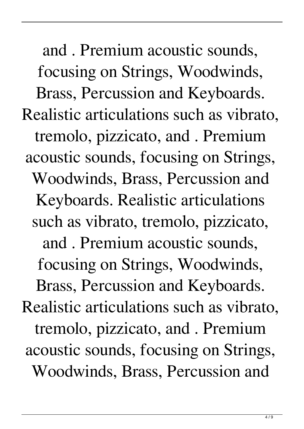and . Premium acoustic sounds, focusing on Strings, Woodwinds, Brass, Percussion and Keyboards. Realistic articulations such as vibrato, tremolo, pizzicato, and . Premium acoustic sounds, focusing on Strings, Woodwinds, Brass, Percussion and Keyboards. Realistic articulations such as vibrato, tremolo, pizzicato, and . Premium acoustic sounds, focusing on Strings, Woodwinds, Brass, Percussion and Keyboards. Realistic articulations such as vibrato, tremolo, pizzicato, and . Premium acoustic sounds, focusing on Strings, Woodwinds, Brass, Percussion and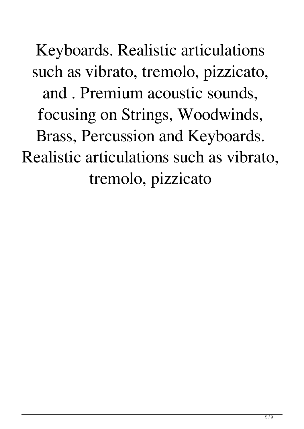Keyboards. Realistic articulations such as vibrato, tremolo, pizzicato, and . Premium acoustic sounds, focusing on Strings, Woodwinds, Brass, Percussion and Keyboards. Realistic articulations such as vibrato, tremolo, pizzicato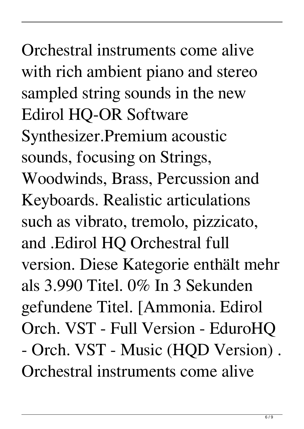Orchestral instruments come alive with rich ambient piano and stereo sampled string sounds in the new Edirol HQ-OR Software Synthesizer.Premium acoustic sounds, focusing on Strings, Woodwinds, Brass, Percussion and Keyboards. Realistic articulations such as vibrato, tremolo, pizzicato, and .Edirol HQ Orchestral full version. Diese Kategorie enthält mehr als 3.990 Titel. 0% In 3 Sekunden gefundene Titel. [Ammonia. Edirol Orch. VST - Full Version - EduroHQ - Orch. VST - Music (HQD Version) . Orchestral instruments come alive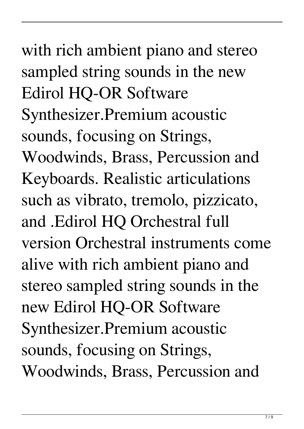## 7 / 9

with rich ambient piano and stereo sampled string sounds in the new Edirol HQ-OR Software Synthesizer.Premium acoustic sounds, focusing on Strings, Woodwinds, Brass, Percussion and Keyboards. Realistic articulations such as vibrato, tremolo, pizzicato, and .Edirol HQ Orchestral full version Orchestral instruments come alive with rich ambient piano and stereo sampled string sounds in the new Edirol HQ-OR Software Synthesizer.Premium acoustic sounds, focusing on Strings, Woodwinds, Brass, Percussion and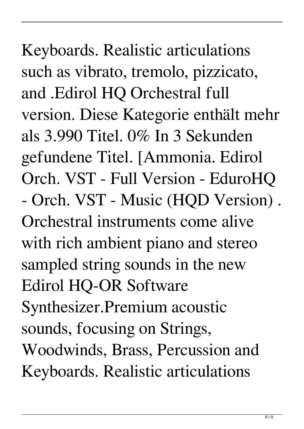Keyboards. Realistic articulations such as vibrato, tremolo, pizzicato, and .Edirol HQ Orchestral full version. Diese Kategorie enthält mehr als 3.990 Titel. 0% In 3 Sekunden gefundene Titel. [Ammonia. Edirol Orch. VST - Full Version - EduroHQ - Orch. VST - Music (HQD Version) . Orchestral instruments come alive with rich ambient piano and stereo sampled string sounds in the new Edirol HQ-OR Software Synthesizer.Premium acoustic sounds, focusing on Strings, Woodwinds, Brass, Percussion and Keyboards. Realistic articulations